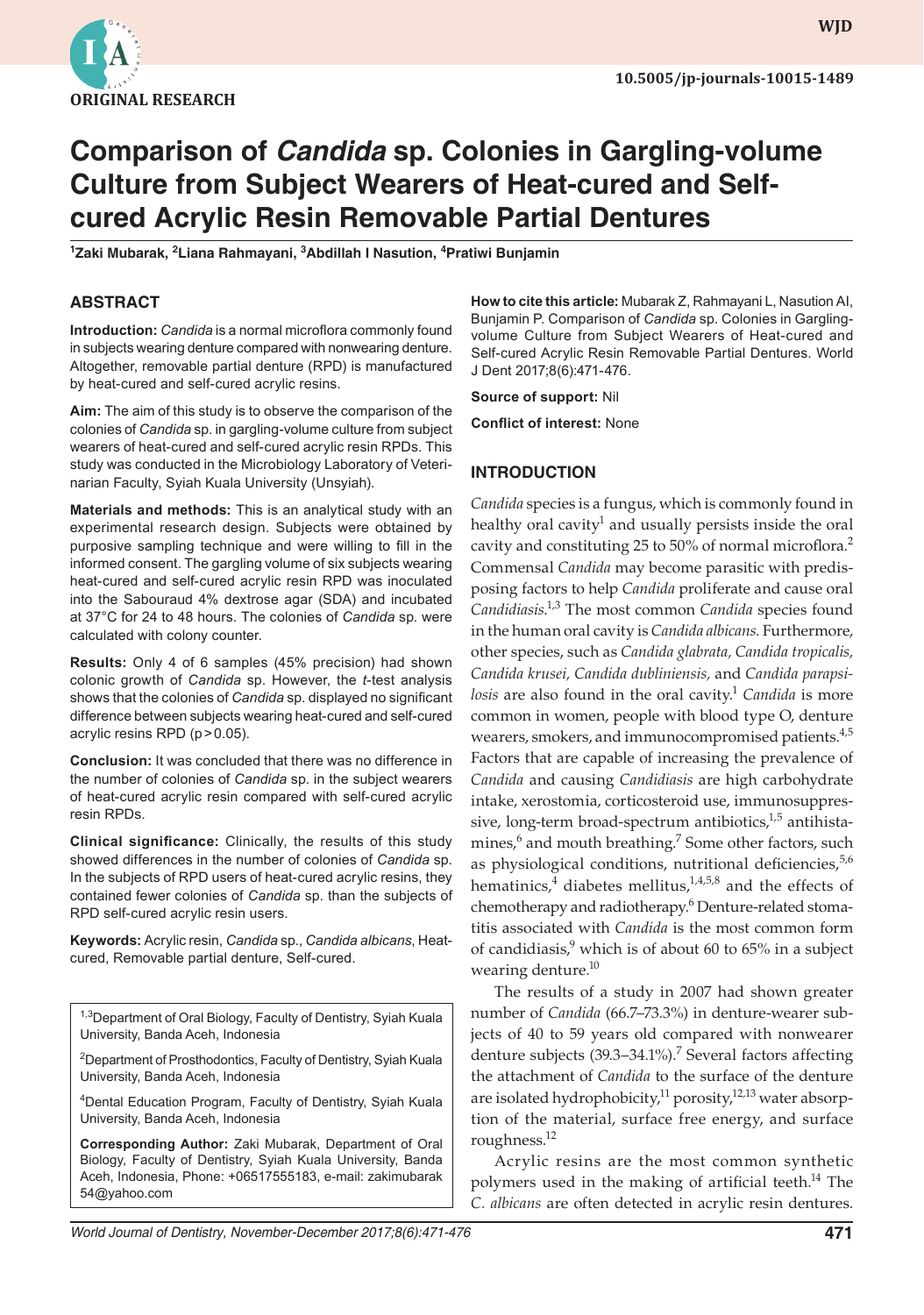

**wjd WJD**

# **Comparison of** *Candida* **sp. Colonies in Gargling-volume Culture from Subject Wearers of Heat-cured and Selfcured Acrylic Resin Removable Partial Dentures**

**1 Zaki Mubarak, 2 Liana Rahmayani, 3 Abdillah I Nasution, 4 Pratiwi Bunjamin**

#### **ABSTRACT**

**Introduction:** *Candida* is a normal microflora commonly found in subjects wearing denture compared with nonwearing denture. Altogether, removable partial denture (RPD) is manufactured by heat-cured and self-cured acrylic resins.

**Aim:** The aim of this study is to observe the comparison of the colonies of *Candida* sp. in gargling-volume culture from subject wearers of heat-cured and self-cured acrylic resin RPDs. This study was conducted in the Microbiology Laboratory of Veterinarian Faculty, Syiah Kuala University (Unsyiah).

**Materials and methods:** This is an analytical study with an experimental research design. Subjects were obtained by purposive sampling technique and were willing to fill in the informed consent. The gargling volume of six subjects wearing heat-cured and self-cured acrylic resin RPD was inoculated into the Sabouraud 4% dextrose agar (SDA) and incubated at 37°C for 24 to 48 hours. The colonies of *Candida* sp. were calculated with colony counter.

**Results:** Only 4 of 6 samples (45% precision) had shown colonic growth of *Candida* sp. However, the *t*-test analysis shows that the colonies of *Candida* sp. displayed no significant difference between subjects wearing heat-cured and self-cured acrylic resins RPD (p>0.05).

**Conclusion:** It was concluded that there was no difference in the number of colonies of *Candida* sp. in the subject wearers of heat-cured acrylic resin compared with self-cured acrylic resin RPDs.

**Clinical significance:** Clinically, the results of this study showed differences in the number of colonies of *Candida* sp. In the subjects of RPD users of heat-cured acrylic resins, they contained fewer colonies of *Candida* sp. than the subjects of RPD self-cured acrylic resin users.

**Keywords:** Acrylic resin, *Candida* sp., *Candida albicans*, Heatcured, Removable partial denture, Self-cured.

<sup>1,3</sup>Department of Oral Biology, Faculty of Dentistry, Syiah Kuala University, Banda Aceh, Indonesia

<sup>2</sup>Department of Prosthodontics, Faculty of Dentistry, Syiah Kuala University, Banda Aceh, Indonesia

4 Dental Education Program, Faculty of Dentistry, Syiah Kuala University, Banda Aceh, Indonesia

**Corresponding Author:** Zaki Mubarak, Department of Oral Biology, Faculty of Dentistry, Syiah Kuala University, Banda Aceh, Indonesia, Phone: +06517555183, e-mail: zakimubarak 54@yahoo.com

**How to cite this article:** Mubarak Z, Rahmayani L, Nasution AI, Bunjamin P. Comparison of *Candida* sp. Colonies in Garglingvolume Culture from Subject Wearers of Heat-cured and Self-cured Acrylic Resin Removable Partial Dentures. World J Dent 2017;8(6):471-476.

**Source of support:** Nil

**Conflict of interest:** None

#### **INTRODUCTION**

*Candida* species is a fungus, which is commonly found in healthy oral cavity<sup>1</sup> and usually persists inside the oral cavity and constituting 25 to 50% of normal microflora.<sup>2</sup> Commensal *Candida* may become parasitic with predisposing factors to help *Candida* proliferate and cause oral Candidiasis.<sup>1,3</sup> The most common *Candida* species found in the human oral cavity is *Candida albicans*. Furthermore, other species, such as *Candida glabrata, Candida tropicalis, Candida krusei, Candida dubliniensis,* and *Candida parapsilosis* are also found in the oral cavity.<sup>1</sup> *Candida* is more common in women, people with blood type O, denture wearers, smokers, and immunocompromised patients.<sup>4,5</sup> Factors that are capable of increasing the prevalence of *Candida* and causing *Candidiasis* are high carbohydrate intake, xerostomia, corticosteroid use, immunosuppressive, long-term broad-spectrum antibiotics, $1.5$  antihistamines,<sup>6</sup> and mouth breathing.<sup>7</sup> Some other factors, such as physiological conditions, nutritional deficiencies,<sup>5,6</sup> hematinics, $4$  diabetes mellitus, $1,4,5,8$  and the effects of chemotherapy and radiotherapy.<sup>6</sup> Denture-related stomatitis associated with *Candida* is the most common form of candidiasis,<sup>9</sup> which is of about 60 to 65% in a subject wearing denture.<sup>10</sup>

The results of a study in 2007 had shown greater number of *Candida* (66.7–73.3%) in denture-wearer subjects of 40 to 59 years old compared with nonwearer denture subjects (39.3–34.1%).<sup>7</sup> Several factors affecting the attachment of *Candida* to the surface of the denture are isolated hydrophobicity, $^{11}$  porosity, $^{12,13}$  water absorption of the material, surface free energy, and surface roughness.12

Acrylic resins are the most common synthetic polymers used in the making of artificial teeth.<sup>14</sup> The *C. albicans* are often detected in acrylic resin dentures.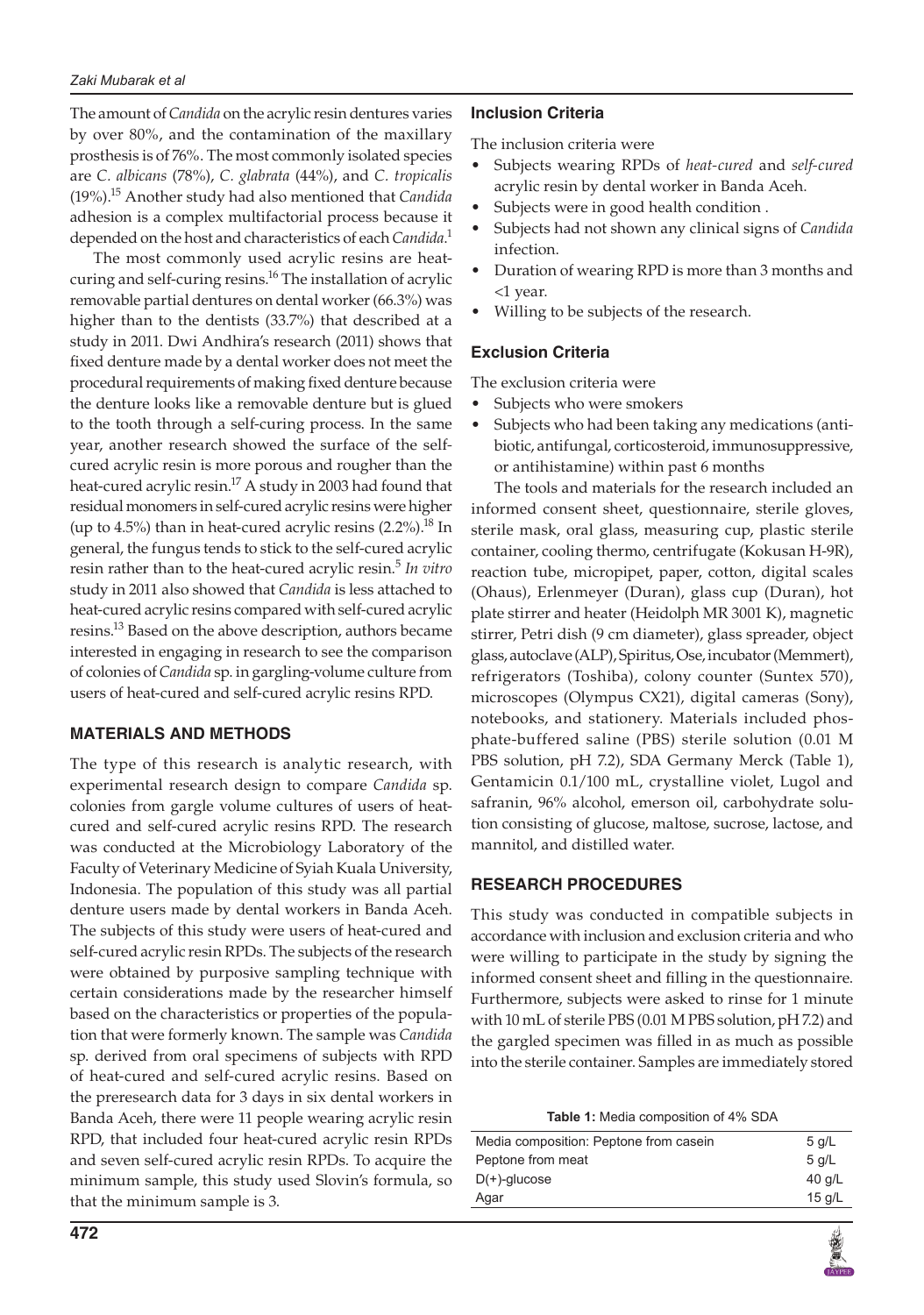The amount of *Candida* on the acrylic resin dentures varies by over 80%, and the contamination of the maxillary prosthesis is of 76%. The most commonly isolated species are *C. albicans* (78%), *C. glabrata* (44%), and *C. tropicalis* (19%).15 Another study had also mentioned that *Candida* adhesion is a complex multifactorial process because it depended on the host and characteristics of each *Candida*. 1

The most commonly used acrylic resins are heatcuring and self-curing resins.<sup>16</sup> The installation of acrylic removable partial dentures on dental worker (66.3%) was higher than to the dentists (33.7%) that described at a study in 2011. Dwi Andhira's research (2011) shows that fixed denture made by a dental worker does not meet the procedural requirements of making fixed denture because the denture looks like a removable denture but is glued to the tooth through a self-curing process. In the same year, another research showed the surface of the selfcured acrylic resin is more porous and rougher than the heat-cured acrylic resin.<sup>17</sup> A study in 2003 had found that residual monomers in self-cured acrylic resins were higher (up to 4.5%) than in heat-cured acrylic resins  $(2.2\%)$ .<sup>18</sup> In general, the fungus tends to stick to the self-cured acrylic resin rather than to the heat-cured acrylic resin.<sup>5</sup> *In vitro* study in 2011 also showed that *Candida* is less attached to heat-cured acrylic resins compared with self-cured acrylic resins.<sup>13</sup> Based on the above description, authors became interested in engaging in research to see the comparison of colonies of *Candida* sp. in gargling-volume culture from users of heat-cured and self-cured acrylic resins RPD.

# **MATERIALS AND METHODS**

The type of this research is analytic research, with experimental research design to compare *Candida* sp. colonies from gargle volume cultures of users of heatcured and self-cured acrylic resins RPD. The research was conducted at the Microbiology Laboratory of the Faculty of Veterinary Medicine of Syiah Kuala University, Indonesia. The population of this study was all partial denture users made by dental workers in Banda Aceh. The subjects of this study were users of heat-cured and self-cured acrylic resin RPDs. The subjects of the research were obtained by purposive sampling technique with certain considerations made by the researcher himself based on the characteristics or properties of the population that were formerly known. The sample was *Candida* sp. derived from oral specimens of subjects with RPD of heat-cured and self-cured acrylic resins. Based on the preresearch data for 3 days in six dental workers in Banda Aceh, there were 11 people wearing acrylic resin RPD, that included four heat-cured acrylic resin RPDs and seven self-cured acrylic resin RPDs. To acquire the minimum sample, this study used Slovin's formula, so that the minimum sample is 3.

#### **Inclusion Criteria**

The inclusion criteria were

- Subjects wearing RPDs of *heat-cured* and *self-cured* acrylic resin by dental worker in Banda Aceh.
- Subjects were in good health condition.
- Subjects had not shown any clinical signs of *Candida* infection.
- Duration of wearing RPD is more than 3 months and <1 year.
- Willing to be subjects of the research.

#### **Exclusion Criteria**

The exclusion criteria were

- Subjects who were smokers
- • Subjects who had been taking any medications (antibiotic, antifungal, corticosteroid, immunosuppressive, or antihistamine) within past 6 months

The tools and materials for the research included an informed consent sheet, questionnaire, sterile gloves, sterile mask, oral glass, measuring cup, plastic sterile container, cooling thermo, centrifugate (Kokusan H-9R), reaction tube, micropipet, paper, cotton, digital scales (Ohaus), Erlenmeyer (Duran), glass cup (Duran), hot plate stirrer and heater (Heidolph MR 3001 K), magnetic stirrer, Petri dish (9 cm diameter), glass spreader, object glass, autoclave (ALP), Spiritus, Ose, incubator (Memmert), refrigerators (Toshiba), colony counter (Suntex 570), microscopes (Olympus CX21), digital cameras (Sony), notebooks, and stationery. Materials included phosphate-buffered saline (PBS) sterile solution (0.01 M PBS solution, pH 7.2), SDA Germany Merck (Table 1), Gentamicin 0.1/100 mL, crystalline violet, Lugol and safranin, 96% alcohol, emerson oil, carbohydrate solution consisting of glucose, maltose, sucrose, lactose, and mannitol, and distilled water.

# **RESEARCH PROCEDURES**

This study was conducted in compatible subjects in accordance with inclusion and exclusion criteria and who were willing to participate in the study by signing the informed consent sheet and filling in the questionnaire. Furthermore, subjects were asked to rinse for 1 minute with 10 mL of sterile PBS (0.01 M PBS solution, pH 7.2) and the gargled specimen was filled in as much as possible into the sterile container. Samples are immediately stored

| Media composition: Peptone from casein | $5$ q/L  |
|----------------------------------------|----------|
| Peptone from meat                      | $5$ a/L  |
| $D(+)$ -glucose                        | 40 g/L   |
| Agar                                   | 15 $q/L$ |
|                                        |          |

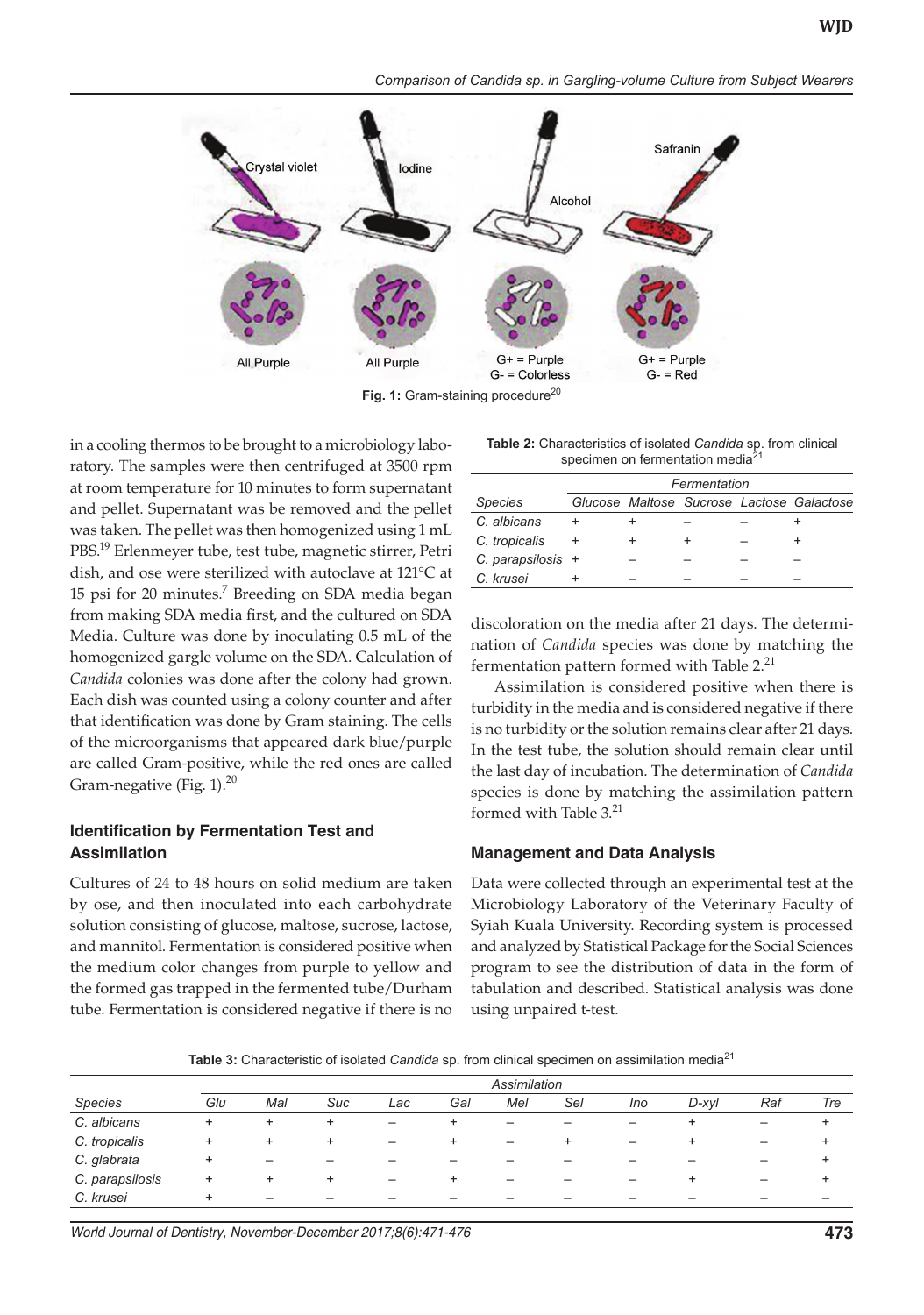

Fig. 1: Gram-staining procedure<sup>20</sup>

in a cooling thermos to be brought to a microbiology laboratory. The samples were then centrifuged at 3500 rpm at room temperature for 10 minutes to form supernatant and pellet. Supernatant was be removed and the pellet was taken. The pellet was then homogenized using 1 mL PBS.19 Erlenmeyer tube, test tube, magnetic stirrer, Petri dish, and ose were sterilized with autoclave at 121°C at 15 psi for 20 minutes.<sup>7</sup> Breeding on SDA media began from making SDA media first, and the cultured on SDA Media. Culture was done by inoculating 0.5 mL of the homogenized gargle volume on the SDA. Calculation of *Candida* colonies was done after the colony had grown. Each dish was counted using a colony counter and after that identification was done by Gram staining. The cells of the microorganisms that appeared dark blue/purple are called Gram-positive, while the red ones are called Gram-negative (Fig.  $1$ ).<sup>20</sup>

#### **Identification by Fermentation Test and Assimilation**

Cultures of 24 to 48 hours on solid medium are taken by ose, and then inoculated into each carbohydrate solution consisting of glucose, maltose, sucrose, lactose, and mannitol. Fermentation is considered positive when the medium color changes from purple to yellow and the formed gas trapped in the fermented tube/Durham tube. Fermentation is considered negative if there is no

**Table 2:** Characteristics of isolated *Candida* sp. from clinical specimen on fermentation media<sup>21</sup>

|                     | Fermentation |  |  |  |                                           |  |  |  |  |
|---------------------|--------------|--|--|--|-------------------------------------------|--|--|--|--|
| <b>Species</b>      |              |  |  |  | Glucose Maltose Sucrose Lactose Galactose |  |  |  |  |
| C. albicans         |              |  |  |  |                                           |  |  |  |  |
| C. tropicalis       |              |  |  |  |                                           |  |  |  |  |
| C. parapsilosis $+$ |              |  |  |  |                                           |  |  |  |  |
| C. krusei           |              |  |  |  |                                           |  |  |  |  |

discoloration on the media after 21 days. The determination of *Candida* species was done by matching the fermentation pattern formed with Table 2.<sup>21</sup>

Assimilation is considered positive when there is turbidity in the media and is considered negative if there is no turbidity or the solution remains clear after 21 days. In the test tube, the solution should remain clear until the last day of incubation. The determination of *Candida* species is done by matching the assimilation pattern formed with Table  $3.^{21}$ 

#### **Management and Data Analysis**

Data were collected through an experimental test at the Microbiology Laboratory of the Veterinary Faculty of Syiah Kuala University. Recording system is processed and analyzed by Statistical Package for the Social Sciences program to see the distribution of data in the form of tabulation and described. Statistical analysis was done using unpaired t-test.

**Table 3:** Characteristic of isolated *Candida* sp. from clinical specimen on assimilation media<sup>21</sup>

|                 | Assimilation |                          |                          |                          |                          |     |                          |                          |           |                          |     |
|-----------------|--------------|--------------------------|--------------------------|--------------------------|--------------------------|-----|--------------------------|--------------------------|-----------|--------------------------|-----|
| <b>Species</b>  | Glu          | Mal                      | Suc                      | Lac                      | Gal                      | Mel | Sel                      | Ino                      | D-xvl     | Raf                      | Tre |
| C. albicans     | $\pm$        | ٠                        | ÷                        | $\overline{\phantom{0}}$ | ÷                        | -   | -                        |                          | ٠         | $\overline{\phantom{m}}$ | ÷   |
| C. tropicalis   | $\ddot{}$    | $\pm$                    | ÷                        | $\overline{\phantom{0}}$ | ÷                        | -   | ٠                        | -                        | $\ddot{}$ | $\qquad \qquad -$        | ÷   |
| C. glabrata     |              |                          |                          |                          |                          |     |                          |                          |           | $\overline{\phantom{0}}$ |     |
| C. parapsilosis | $\ddot{}$    | ÷                        | ÷                        |                          | ÷                        | -   | -                        |                          | ٠         | —                        |     |
| C. krusei       |              | $\overline{\phantom{0}}$ | $\overline{\phantom{0}}$ | $\overline{\phantom{0}}$ | $\overline{\phantom{0}}$ | -   | $\overline{\phantom{0}}$ | $\overline{\phantom{0}}$ | -         | $\overline{\phantom{0}}$ |     |

*World Journal of Dentistry, November-December 2017;8(6):471-476* **473**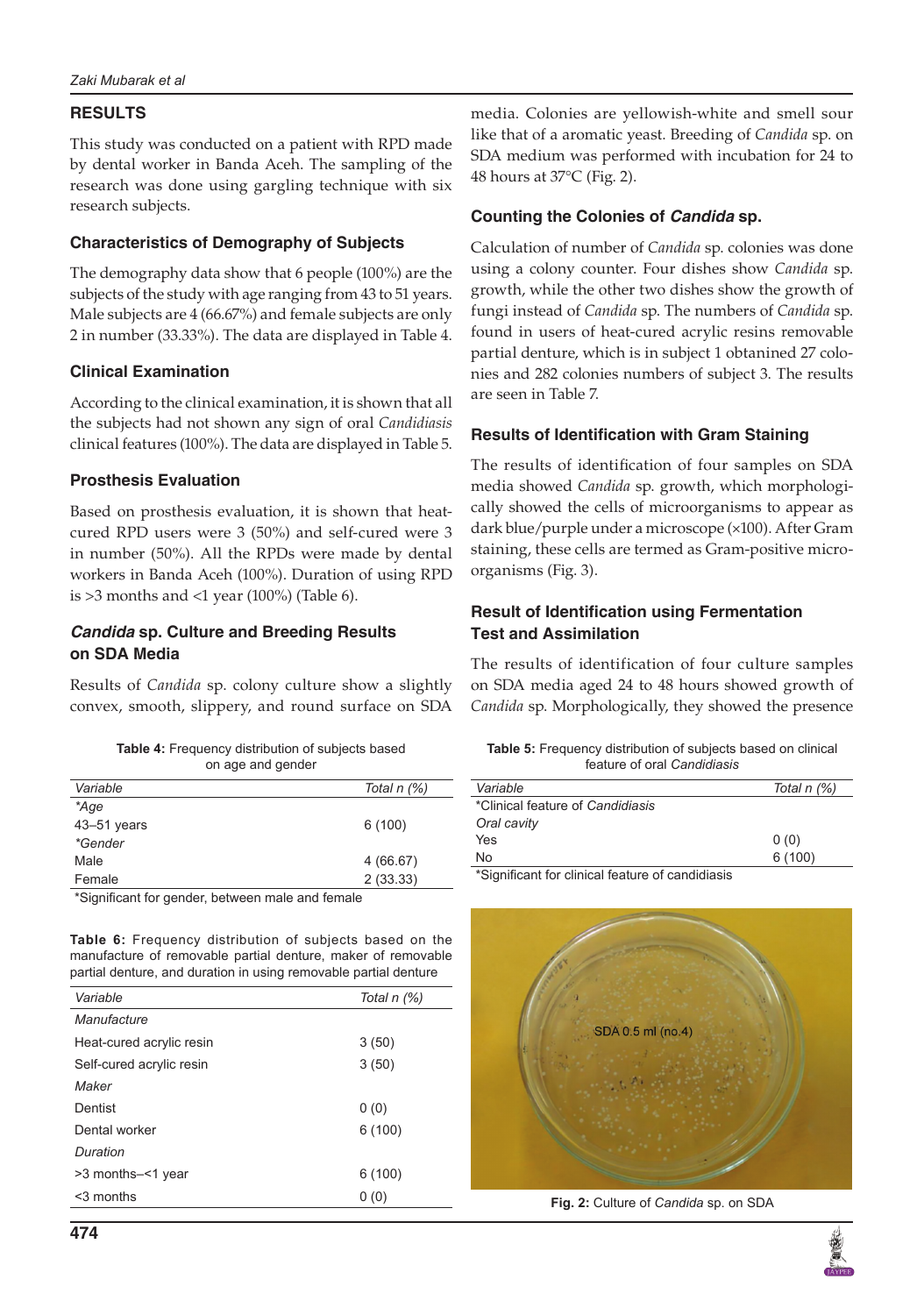# **RESULTS**

This study was conducted on a patient with RPD made by dental worker in Banda Aceh. The sampling of the research was done using gargling technique with six research subjects.

#### **Characteristics of Demography of Subjects**

The demography data show that 6 people (100%) are the subjects of the study with age ranging from 43 to 51 years. Male subjects are 4 (66.67%) and female subjects are only 2 in number (33.33%). The data are displayed in Table 4.

#### **Clinical Examination**

According to the clinical examination, it is shown that all the subjects had not shown any sign of oral *Candidiasis* clinical features (100%). The data are displayed in Table 5.

#### **Prosthesis Evaluation**

Based on prosthesis evaluation, it is shown that heatcured RPD users were 3 (50%) and self-cured were 3 in number (50%). All the RPDs were made by dental workers in Banda Aceh (100%). Duration of using RPD is  $>3$  months and  $<1$  year (100%) (Table 6).

#### *Candida* **sp. Culture and Breeding Results on SDA Media**

Results of *Candida* sp. colony culture show a slightly convex, smooth, slippery, and round surface on SDA

| <b>Table 4:</b> Frequency distribution of subjects based |
|----------------------------------------------------------|
| on age and gender                                        |

| Variable        | Total n (%) |
|-----------------|-------------|
| *Age            |             |
| $43 - 51$ years | 6(100)      |
| <i>*Gender</i>  |             |
| Male            | 4 (66.67)   |
| Female          | 2(33.33)    |
|                 |             |

\*Significant for gender, between male and female

**Table 6:** Frequency distribution of subjects based on the manufacture of removable partial denture, maker of removable partial denture, and duration in using removable partial denture

| Variable                 | Total n (%) |
|--------------------------|-------------|
| Manufacture              |             |
| Heat-cured acrylic resin | 3(50)       |
| Self-cured acrylic resin | 3(50)       |
| Maker                    |             |
| Dentist                  | 0(0)        |
| Dental worker            | 6(100)      |
| Duration                 |             |
| >3 months-<1 year        | 6(100)      |
| $3$ months               | 0(0)        |
|                          |             |

media. Colonies are yellowish-white and smell sour like that of a aromatic yeast. Breeding of *Candida* sp. on SDA medium was performed with incubation for 24 to 48 hours at 37°C (Fig. 2).

# **Counting the Colonies of** *Candida* **sp.**

Calculation of number of *Candida* sp. colonies was done using a colony counter. Four dishes show *Candida* sp. growth, while the other two dishes show the growth of fungi instead of *Candida* sp. The numbers of *Candida* sp. found in users of heat-cured acrylic resins removable partial denture, which is in subject 1 obtanined 27 colonies and 282 colonies numbers of subject 3. The results are seen in Table 7.

# **Results of Identification with Gram Staining**

The results of identification of four samples on SDA media showed *Candida* sp. growth, which morphologically showed the cells of microorganisms to appear as dark blue/purple under a microscope (×100). After Gram staining, these cells are termed as Gram-positive microorganisms (Fig. 3).

# **Result of Identification using Fermentation Test and Assimilation**

The results of identification of four culture samples on SDA media aged 24 to 48 hours showed growth of *Candida* sp. Morphologically, they showed the presence

| <b>Table 5:</b> Frequency distribution of subjects based on clinical |  |
|----------------------------------------------------------------------|--|
| feature of oral Candidiasis                                          |  |

| Variable                                         | Total n (%) |
|--------------------------------------------------|-------------|
| *Clinical feature of Candidiasis                 |             |
| Oral cavity                                      |             |
| Yes                                              | 0(0)        |
| No                                               | 6(100)      |
| *Cianificant for olinical footure of condidionie |             |

Significant for clinical feature of candidiasis



**Fig. 2:** Culture of *Candida* sp. on SDA

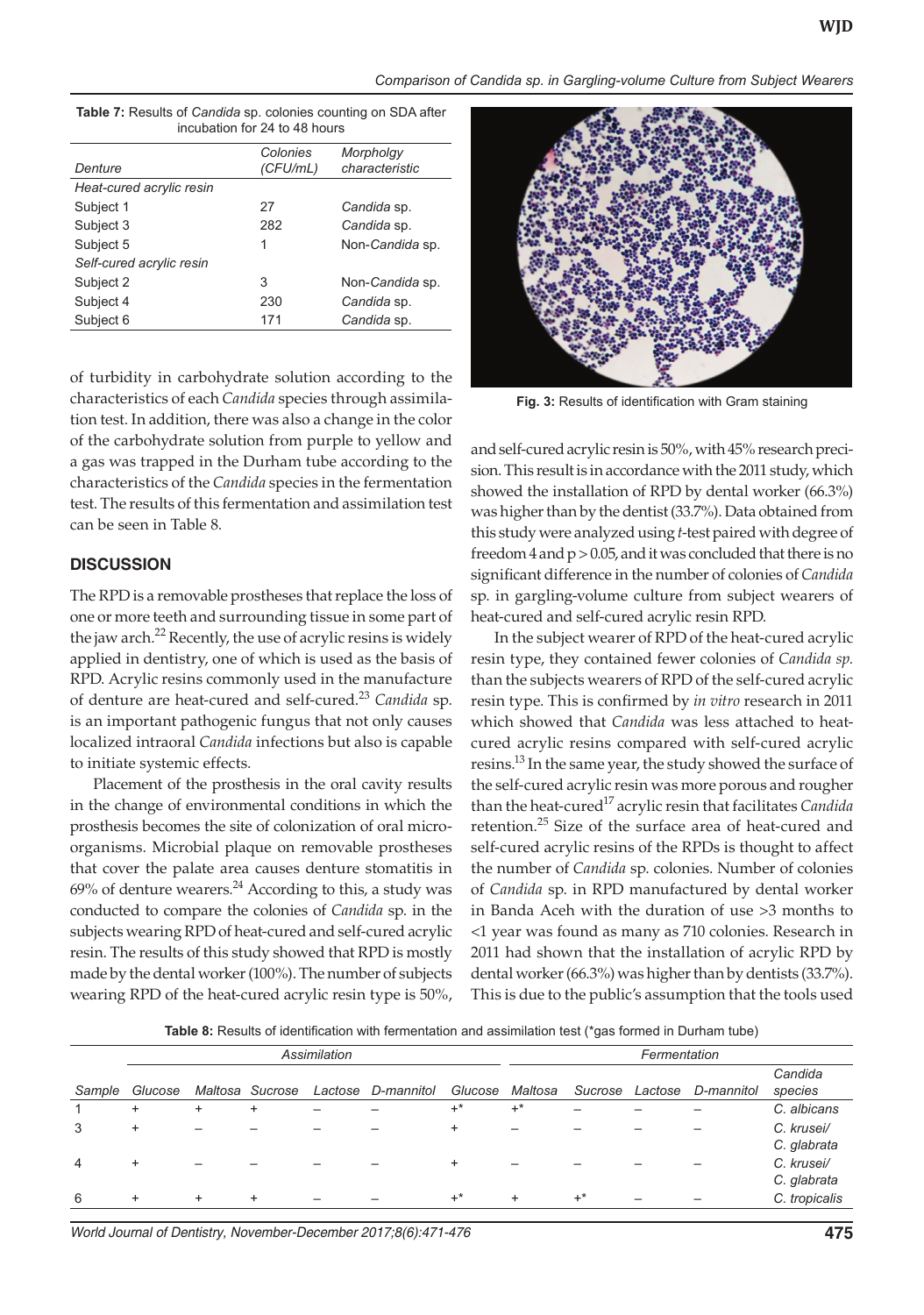*Comparison of Candida sp. in Gargling-volume Culture from Subject Wearers* 

| Denture                  | Colonies<br>(CFU/mL) | Morpholgy<br>characteristic |
|--------------------------|----------------------|-----------------------------|
|                          |                      |                             |
| Heat-cured acrylic resin |                      |                             |
| Subject 1                | 27                   | Candida sp.                 |
| Subject 3                | 282                  | Candida sp.                 |
| Subject 5                | 1                    | Non-Candida sp.             |
| Self-cured acrylic resin |                      |                             |
| Subject 2                | 3                    | Non-Candida sp.             |
| Subject 4                | 230                  | Candida sp.                 |
| Subject 6                | 171                  | Candida sp.                 |
|                          |                      |                             |

| <b>Table 7:</b> Results of <i>Candida</i> sp. colonies counting on SDA after |
|------------------------------------------------------------------------------|
| incubation for 24 to 48 hours                                                |

of turbidity in carbohydrate solution according to the characteristics of each *Candida* species through assimilation test. In addition, there was also a change in the color of the carbohydrate solution from purple to yellow and a gas was trapped in the Durham tube according to the characteristics of the *Candida* species in the fermentation test. The results of this fermentation and assimilation test can be seen in Table 8.

#### **DISCUSSION**

The RPD is a removable prostheses that replace the loss of one or more teeth and surrounding tissue in some part of the jaw arch.<sup>22</sup> Recently, the use of acrylic resins is widely applied in dentistry, one of which is used as the basis of RPD. Acrylic resins commonly used in the manufacture of denture are heat-cured and self-cured.23 *Candida* sp. is an important pathogenic fungus that not only causes localized intraoral *Candida* infections but also is capable to initiate systemic effects.

Placement of the prosthesis in the oral cavity results in the change of environmental conditions in which the prosthesis becomes the site of colonization of oral microorganisms. Microbial plaque on removable prostheses that cover the palate area causes denture stomatitis in  $69%$  of denture wearers.<sup>24</sup> According to this, a study was conducted to compare the colonies of *Candida* sp. in the subjects wearing RPD of heat-cured and self-cured acrylic resin. The results of this study showed that RPD is mostly made by the dental worker (100%). The number of subjects wearing RPD of the heat-cured acrylic resin type is 50%,



**Fig. 3:** Results of identification with Gram staining

and self-cured acrylic resin is 50%, with 45% research precision. This result is in accordance with the 2011 study, which showed the installation of RPD by dental worker (66.3%) was higher than by the dentist (33.7%). Data obtained from this study were analyzed using *t*-test paired with degree of freedom  $4$  and  $p > 0.05$ , and it was concluded that there is no significant difference in the number of colonies of *Candida* sp. in gargling-volume culture from subject wearers of heat-cured and self-cured acrylic resin RPD.

In the subject wearer of RPD of the heat-cured acrylic resin type, they contained fewer colonies of *Candida sp.* than the subjects wearers of RPD of the self-cured acrylic resin type. This is confirmed by *in vitro* research in 2011 which showed that *Candida* was less attached to heatcured acrylic resins compared with self-cured acrylic resins.<sup>13</sup> In the same year, the study showed the surface of the self-cured acrylic resin was more porous and rougher than the heat-cured17 acrylic resin that facilitates *Candida* retention.<sup>25</sup> Size of the surface area of heat-cured and self-cured acrylic resins of the RPDs is thought to affect the number of *Candida* sp. colonies. Number of colonies of *Candida* sp. in RPD manufactured by dental worker in Banda Aceh with the duration of use >3 months to <1 year was found as many as 710 colonies. Research in 2011 had shown that the installation of acrylic RPD by dental worker (66.3%) was higher than by dentists (33.7%). This is due to the public's assumption that the tools used

**Table 8:** Results of identification with fermentation and assimilation test (\*gas formed in Durham tube)

|        | Assimilation |           |                 |  |                    |           | Fermentation |         |         |            |                           |
|--------|--------------|-----------|-----------------|--|--------------------|-----------|--------------|---------|---------|------------|---------------------------|
| Sample | Glucose      |           | Maltosa Sucrose |  | Lactose D-mannitol | Glucose   | Maltosa      | Sucrose | Lactose | D-mannitol | Candida<br>species        |
|        | $\ddot{}$    | $\ddot{}$ | $\ddot{}$       |  |                    | $+^*$     | $+^*$        |         |         |            | C. albicans               |
| 3      | $\ddot{}$    |           |                 |  |                    | $\ddot{}$ | -            |         |         |            | C. krusei/<br>C. glabrata |
| 4      | $\ddot{}$    |           |                 |  |                    | $\ddot{}$ | -            |         |         |            | C. krusei/<br>C. glabrata |
| 6      | $\ddot{}$    | $\ddot{}$ | $\ddot{}$       |  |                    | $+^*$     | $\ddot{}$    | $+^*$   |         |            | C. tropicalis             |

*World Journal of Dentistry, November-December 2017;8(6):471-476* **475**